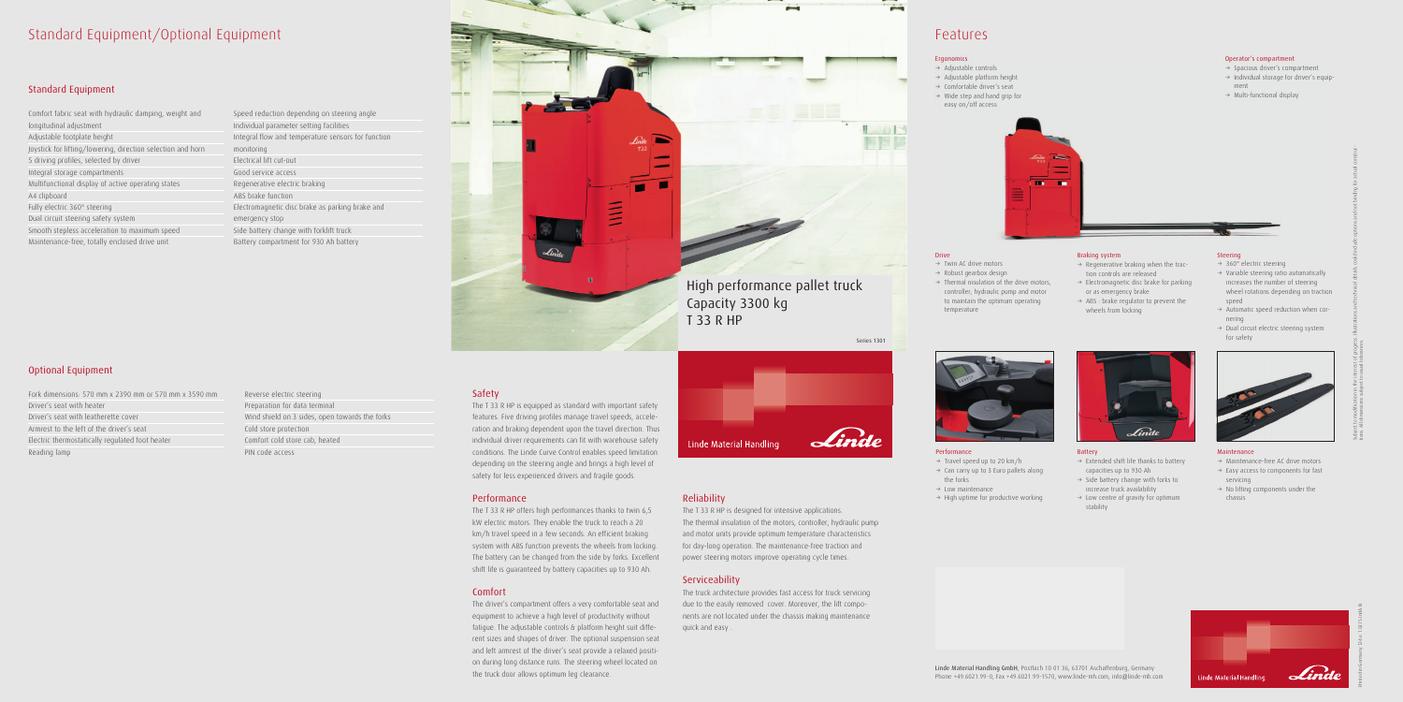### Standard Equipment/Optional Equipment

### Standard Equipment

| Comfort fabric seat with hydraulic damping, weight and      |  |  |  |  |
|-------------------------------------------------------------|--|--|--|--|
| longitudinal adjustment                                     |  |  |  |  |
| Adjustable footplate height                                 |  |  |  |  |
| Joystick for lifting/lowering, direction selection and horn |  |  |  |  |
| 5 driving profiles, selected by driver                      |  |  |  |  |
| Integral storage compartments                               |  |  |  |  |
| Multifunctional display of active operating states          |  |  |  |  |
| A4 clipboard                                                |  |  |  |  |
| Fully electric 360° steering                                |  |  |  |  |
| Dual circuit steering safety system                         |  |  |  |  |
| Smooth stepless acceleration to maximum speed               |  |  |  |  |
| Maintenance-free, totally enclosed drive unit               |  |  |  |  |

### Optional Equipment

Fork dimensions: 570 mm x 2390 mm or 570 mm x 3590 mm Driver's seat with heater Driver's seat with leatherette cover Armrest to the left of the driver's seat Electric thermostatically regulated foot heater Reading lamp

Speed reduction depending on steering angle Individual parameter setting facilities Integral flow and temperature sensors for function monitoring Electrical lift cut-out Good service access Regenerative electric braking ABS brake function Electromagnetic disc brake as parking brake and emergency stop Side battery change with forklift truck Battery compartment for 930 Ah battery



Reverse electric steering Preparation for data terminal Wind shield on 3 sides, open towards the forks Cold store protection Comfort cold store cab, heated PIN code access

### Safety

The T 33 R HP is equipped as standard with important safety features. Five driving profiles manage travel speeds, acceleration and braking dependent upon the travel direction. Thus individual driver requirements can fit with warehouse safety conditions. The Linde Curve Control enables speed limitation depending on the steering angle and brings a high level of safety for less experienced drivers and fragile goods.

### Performance

- $\rightarrow$  Twin AC drive motors
- $\rightarrow$  Robust gearbox design
- $\rightarrow$  Thermal nisulation of the drive motors, controller, hydraulic pump and motor to maintain the optimum operating temperature

- $\rightarrow$  Travel speed up to 20 km/h
- $\rightarrow$  Can carry up to 3 Euro pallets along
- the forks  $\rightarrow$  Low maintenance
- $\rightarrow$  High uptime for productive working
- Linde Battery  $\rightarrow$  Extended shift life thanks to battery capacities up to 930 Ah  $\rightarrow$  Side battery change with forks to
- increase truck availability  $\rightarrow$  Low centre of gravity for optimum stability



The T 33 R HP offers high performances thanks to twin 6,5 kW electric motors. They enable the truck to reach a 20 km/h travel speed in a few seconds. An efficient braking system with ABS function prevents the wheels from locking. The battery can be changed from the side by forks. Excellent shift life is guaranteed by battery capacities up to 930 Ah.

- $\rightarrow$  Variable steering ratio automatically increases the number of steering wheel rotations depending on traction speed
- $\rightarrow$  Automatic speed reduction when cornering
- $\rightarrow$  Dual circuit electric steering system for safety



- $\rightarrow$  Maintenance-free AC drive motors
- $\rightarrow$  Easy access to components for fast servicing
- $\rightarrow$  No lifting components under the chassis



### Comfort

Operator's compartment  $\rightarrow$  Spacious driver's compartment  $\rightarrow$  Individual storage for driver's equip-

 $\rightarrow$  Multi-functional display

The driver's compartment offers a very comfortable seat and equipment to achieve a high level of productivity without fatigue. The adjustable controls & platform height suit different sizes and shapes of driver. The optional suspension seat and left armrest of the driver's seat provide a relaxed position during long distance runs. The steering wheel located on the truck door allows optimum leg clearance.

- $\rightarrow$  Regenerative braking when the traction controls are released
- $\rightarrow$  Electromagnetic disc brake for parking or as emergency brake
- $\rightarrow$  ABS : brake regulator to prevent the wheels from locking
- $\rightarrow$  Adjustable controls
- $\rightarrow$  Adjustable platform height  $\rightarrow$  Comfortable driver's seat
- $\rightarrow$  Wide step and hand grip for
- easy on/off access



### **Drive**

### Reliability

The T 33 R HP is designed for intensive applications. The thermal insulation of the motors, controller, hydraulic pump and motor units provide optimum temperature characteristics for day-long operation. The maintenance-free traction and power steering motors improve operating cycle times.

### **Serviceability**

The truck architecture provides fast access for truck servicing due to the easily removed cover. Moreover, the lift components are not located under the chassis making maintenance quick and easy .



## Features

Linde Material Handling GmbH, Postfach 10 01 36, 63701 Aschaffenburg, Germany Phone +49.6021.99-0, Fax +49.6021.99-1570, www.linde-mh.com, info@linde-mh.com

### Performance

### Steering

 $\rightarrow$  360° electric steering

#### Maintenance

Printed in Germany 124.e.1.0215.IndA.Ki

ment

### Braking system

### Ergonomics

# High performance pallet truck

# Capacity 3300 kg T 33 R HP